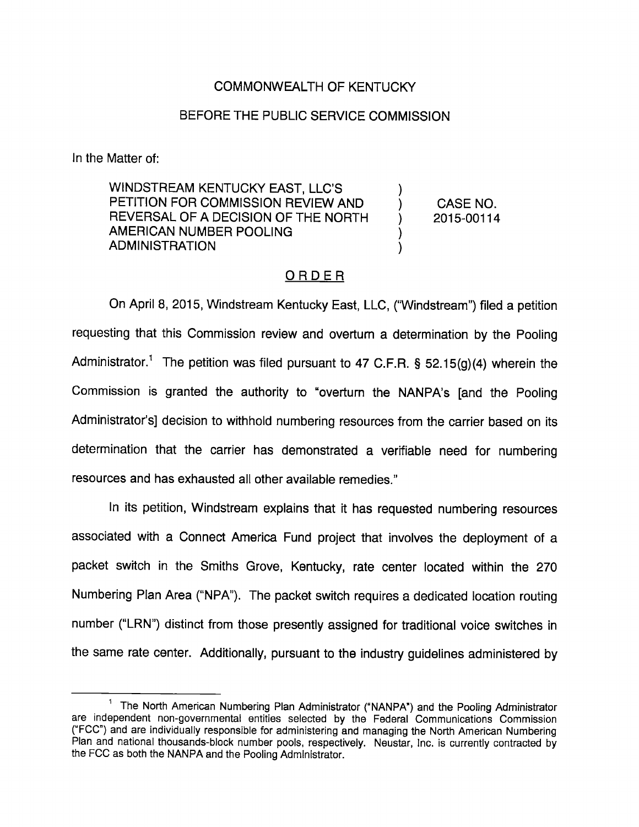## COMMONWEALTH OF KENTUCKY

## BEFORE THE PUBLIC SERVICE COMMISSION

In the Matter of:

WINDSTREAM KENTUCKY EAST, LLC'S PETITION FOR COMMISSION REVIEW AND REVERSAL OF A DECISION OF THE NORTH AMERICAN NUMBER POOLING ADMINISTRATION

CASE NO. 2015-00114

## ORDER

On April 8, 2015, Windstream Kentucky East, LLC, ('Windstream") filed a petition requesting that this Commission review and overturn a determination by the Pooling Administrator.<sup>1</sup> The petition was filed pursuant to 47 C.F.R. § 52.15(g)(4) wherein the Commission is granted the authority to "overturn the NANPA's [and the Pooling Administrator's] decision to withhold numbering resources from the carrier based on its determination that the carrier has demonstrated a verifiable need for numbering resources and has exhausted all other available remedies."

In its petition, Windstream explains that it has requested numbering resources associated with a Connect America Fund project that involves the deployment of a packet switch in the Smiths Grove, Kentucky, rate center located within the 270 Numbering Plan Area ("NPA"). The packet switch requires a dedicated location routing number ("LRN") distinct from those presently assigned for traditional voice switches in the same rate center. Additionally, pursuant to the industry guidelines administered by

<sup>&</sup>lt;sup>1</sup> The North American Numbering Plan Administrator ("NANPA") and the Pooling Administrator are independent non-governmental entities selected by the Federal Communications Commission ("FCC") and are individually responsible for administering and managing the North American Numbering Plan and national thousands-block number pools, respectively. Neustar, Inc. is currently contracted by the FCC as both the NANPA and the Pooling Administrator.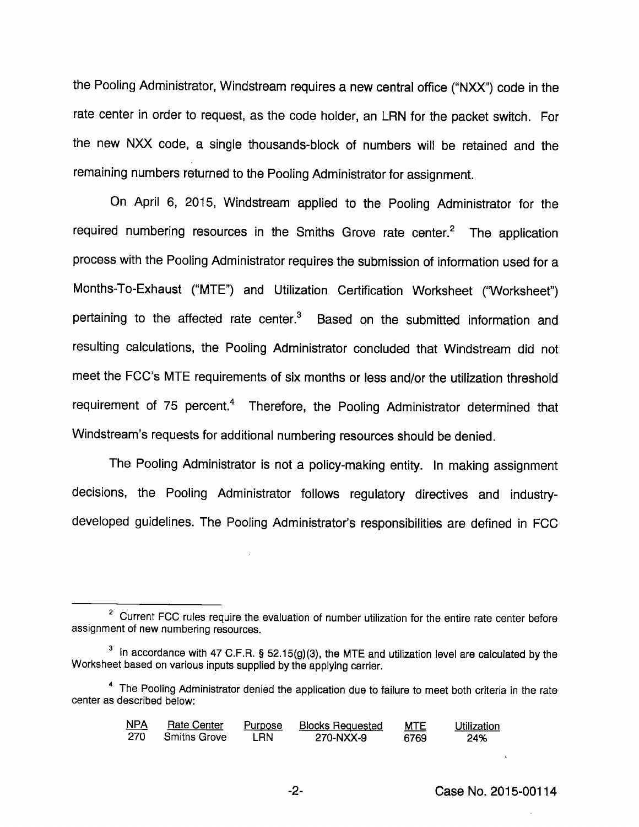the Pooling Administrator, Windstream requires a new central office ("NXX") code in the rate center in order to request, as the code holder, an LRN for the packet switch. For the new NXX code, a single thousands-block of numbers will be retained and the remaining numbers returned to the Pooling Administrator for assignment.

On April 6, 2015, Windstream applied to the Pooling Administrator for the required numbering resources in the Smiths Grove rate center. $<sup>2</sup>$  The application</sup> process with the Pooling Administrator requires the submission of information used for a Months-To-Exhaust ("MTE") and Utilization Certification Worksheet ("Worksheet") pertaining to the affected rate center.<sup>3</sup> Based on the submitted information and resulting calculations, the Pooling Administrator concluded that Windstream did not meet the FCC's MTE requirements of six months or less and/or the utilization threshold requirement of 75 percent.<sup>4</sup> Therefore, the Pooling Administrator determined that Windstream's requests for additional numbering resources should be denied.

The Pooling Administrator is not a policy-making entity. In making assignment decisions, the Pooling Administrator follows regulatory directives and industrydeveloped guidelines. The Pooling Administrator's responsibilities are defined in FCC

<sup>&</sup>lt;sup>4</sup> The Pooling Administrator denied the application due to failure to meet both criteria in the rate center as described below:

| <u>NPA</u> | <b>Rate Center</b>  | <b>Purpose</b> | <b>Blocks Requested</b> | <b>MTE</b> | Utilization |
|------------|---------------------|----------------|-------------------------|------------|-------------|
| 270        | <b>Smiths Grove</b> | LRN            | 270-NXX-9               | 6769       | 24%         |

 $2$  Current FCC rules require the evaluation of number utilization for the entire rate center before assignment of new numbering resources.

 $3$  in accordance with 47 C.F.R. § 52.15(g)(3), the MTE and utilization level are calculated by the Worksheet based on various inputs supplied bythe applying carrier.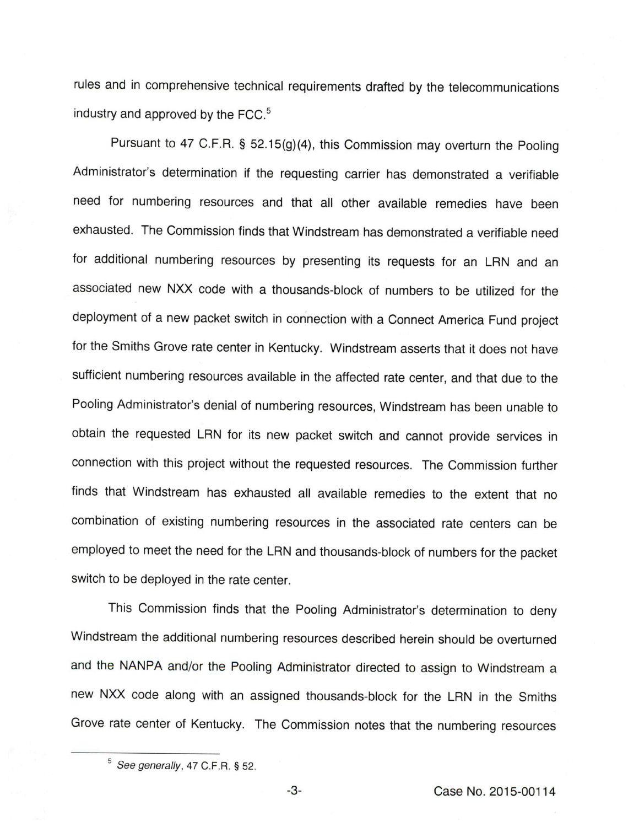rules and in comprehensive technical requirements drafted by the telecommunications industry and approved by the FCC. $<sup>5</sup>$ </sup>

Pursuant to 47 C.F.R. § 52.15(g)(4), this Commission may overturn the Pooling Administrator's determination if the requesting carrier has demonstrated a verifiable need for numbering resources and that all other available remedies have been exhausted. The Commission finds that Windstream has demonstrated a verifiable need for additional numbering resources by presenting its requests for an LRN and an associated new NXX code with a thousands-block of numbers to be utilized for the deployment of a new packet switch in connection with a Connect America Fund project for the Smiths Grove rate center in Kentucky. Windstream asserts that it does not have sufficient numbering resources available in the affected rate center, and that due to the Pooling Administrator's denial of numbering resources, Windstream has been unable to obtain the requested LRN for its new packet switch and cannot provide services in connection with this project without the requested resources. The Commission further finds that Windstream has exhausted all available remedies to the extent that no combination of existing numbering resources in the associated rate centers can be employed to meet the need for the LRN and thousands-block of numbers for the packet switch to be deployed in the rate center.

This Commission finds that the Pooling Administrator's determination to deny Windstream the additional numbering resources described herein should be overturned and the NANPA and/or the Pooling Administrator directed to assign to Windstream a new NXX code along with an assigned thousands-block for the LRN in the Smiths Grove rate center of Kentucky. The Commission notes that the numbering resources

 $5$  See generally, 47 C.F.R. § 52.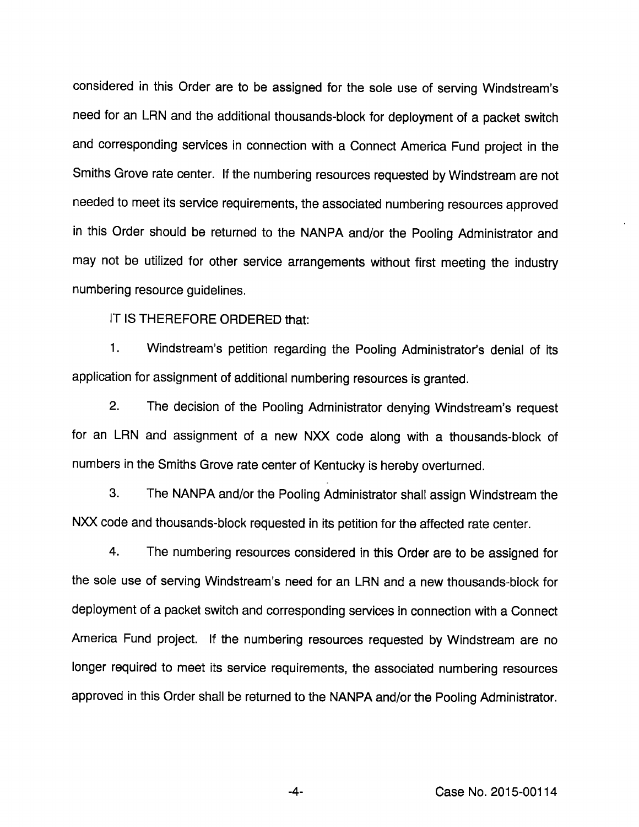considered in this Order are to be assigned for the sole use of serving Windstream's need for an LRN and the additional thousands-block for deployment of a packet switch and corresponding services in connection with a Connect America Fund project in the Smiths Grove rate center. If the numbering resources requested by Windstream are not needed to meet its service requirements, the associated numbering resources approved in this Order should be returned to the NANPA and/or the Pooling Administrator and may not be utilized for other service arrangements without first meeting the industry numbering resource guidelines.

IT IS THEREFORE ORDERED that:

1. Windstream's petition regarding the Pooling Administrator's denial of its application for assignment of additional numbering resources is granted.

2. The decision of the Pooling Administrator denying Windstream's request for an LRN and assignment of a new NXX code along with a thousands-block of numbers in the Smiths Grove rate center of Kentucky is hereby overturned.

3. The NANPA and/or the Pooling Administrator shall assign Windstream the NXX code and thousands-block requested in its petition for the affected rate center.

4. The numbering resources considered in this Order are to be assigned for the sole use of serving Windstream's need for an LRN and a new thousands-block for deployment of a packet switch and corresponding services in connection with a Connect America Fund project. If the numbering resources requested by Windstream are no longer required to meet its service requirements, the associated numbering resources approved in this Order shall be returned to the NANPA and/or the Pooling Administrator.

Case No. 2015-00114

-4-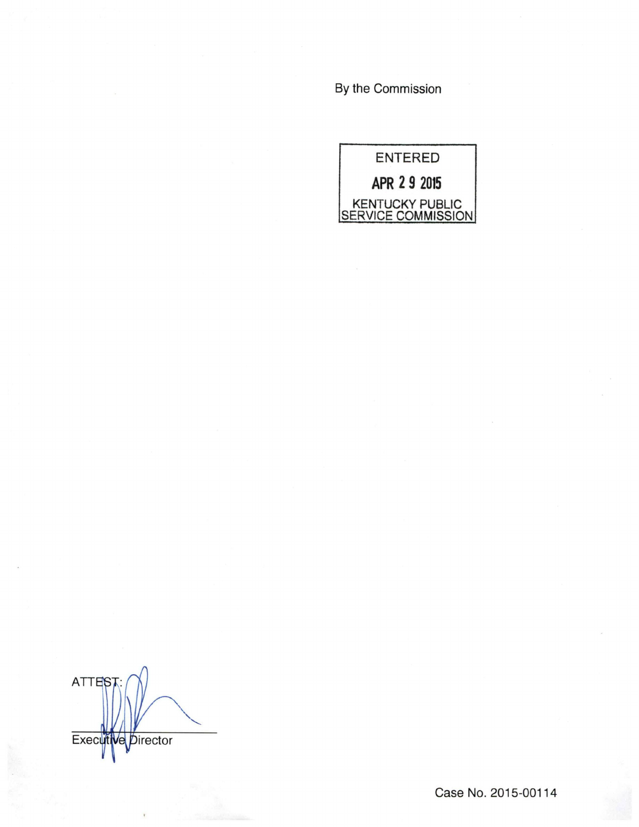By the Commission

ENTERED APR 2 9 2015 KENTUCKY PUBLIC SERVICE COMMISSION

ATTES<sup>®</sup> Execut Director íΑ